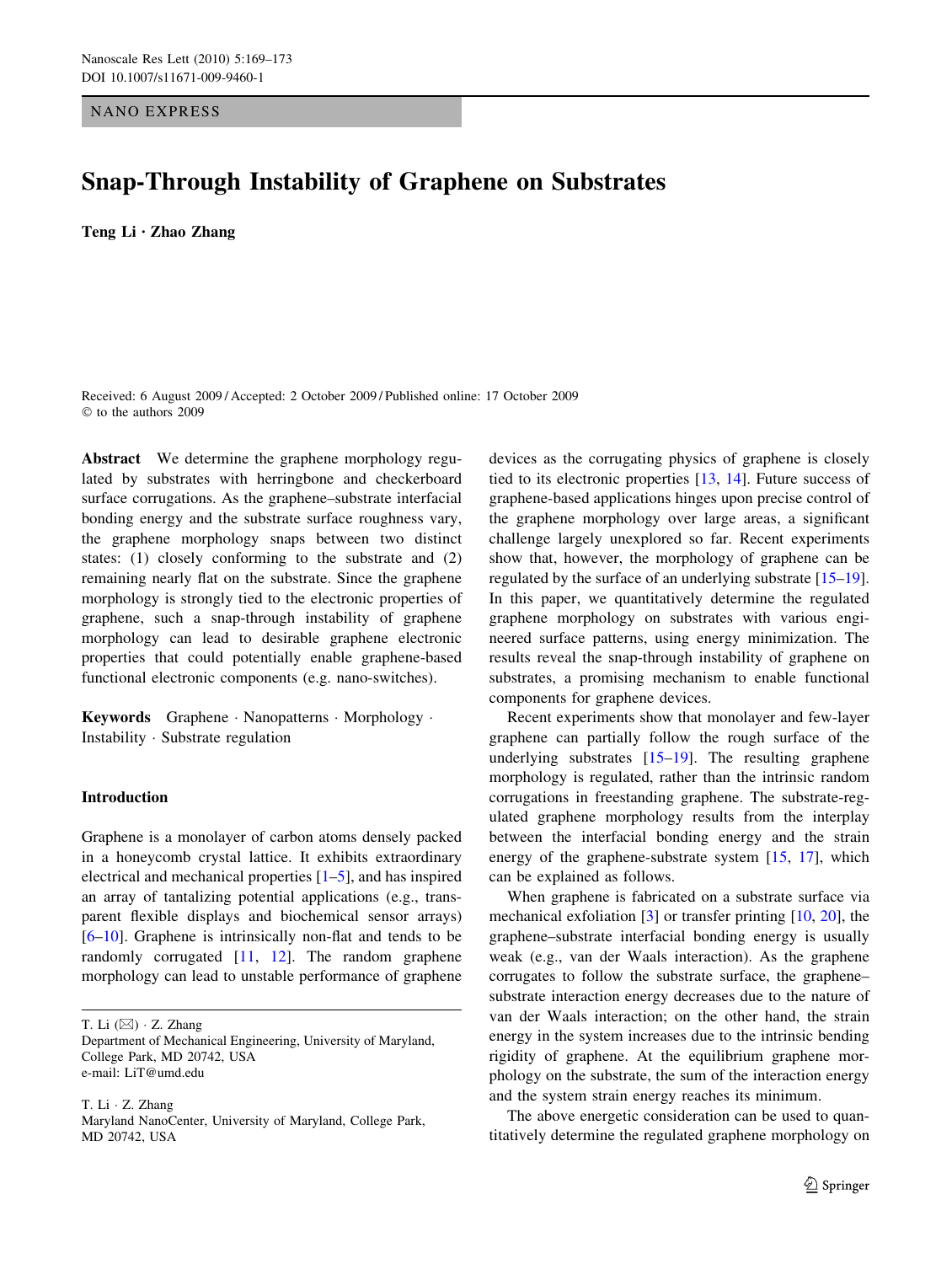NANO EXPRESS

# Snap-Through Instability of Graphene on Substrates

Teng Li *•* Zhao Zhang

Received: 6 August 2009 / Accepted: 2 October 2009 / Published online: 17 October 2009  $©$  to the authors 2009

Abstract We determine the graphene morphology regulated by substrates with herringbone and checkerboard surface corrugations. As the graphene–substrate interfacial bonding energy and the substrate surface roughness vary, the graphene morphology snaps between two distinct states: (1) closely conforming to the substrate and (2) remaining nearly flat on the substrate. Since the graphene morphology is strongly tied to the electronic properties of graphene, such a snap-through instability of graphene morphology can lead to desirable graphene electronic properties that could potentially enable graphene-based functional electronic components (e.g. nano-switches).

Keywords Graphene · Nanopatterns · Morphology · Instability  $\cdot$  Substrate regulation

## Introduction

Graphene is a monolayer of carbon atoms densely packed in a honeycomb crystal lattice. It exhibits extraordinary electrical and mechanical properties [\[1–5](#page-4-0)], and has inspired an array of tantalizing potential applications (e.g., transparent flexible displays and biochemical sensor arrays) [\[6–10](#page-4-0)]. Graphene is intrinsically non-flat and tends to be randomly corrugated [[11,](#page-4-0) [12](#page-4-0)]. The random graphene morphology can lead to unstable performance of graphene

T. Li  $(\boxtimes) \cdot Z$ . Zhang

T. Li · Z. Zhang

devices as the corrugating physics of graphene is closely tied to its electronic properties [\[13](#page-4-0), [14](#page-4-0)]. Future success of graphene-based applications hinges upon precise control of the graphene morphology over large areas, a significant challenge largely unexplored so far. Recent experiments show that, however, the morphology of graphene can be regulated by the surface of an underlying substrate [\[15–19](#page-4-0)]. In this paper, we quantitatively determine the regulated graphene morphology on substrates with various engineered surface patterns, using energy minimization. The results reveal the snap-through instability of graphene on substrates, a promising mechanism to enable functional components for graphene devices.

Recent experiments show that monolayer and few-layer graphene can partially follow the rough surface of the underlying substrates [[15–19\]](#page-4-0). The resulting graphene morphology is regulated, rather than the intrinsic random corrugations in freestanding graphene. The substrate-regulated graphene morphology results from the interplay between the interfacial bonding energy and the strain energy of the graphene-substrate system [[15,](#page-4-0) [17\]](#page-4-0), which can be explained as follows.

When graphene is fabricated on a substrate surface via mechanical exfoliation [\[3](#page-4-0)] or transfer printing [\[10,](#page-4-0) [20](#page-4-0)], the graphene–substrate interfacial bonding energy is usually weak (e.g., van der Waals interaction). As the graphene corrugates to follow the substrate surface, the graphene– substrate interaction energy decreases due to the nature of van der Waals interaction; on the other hand, the strain energy in the system increases due to the intrinsic bending rigidity of graphene. At the equilibrium graphene morphology on the substrate, the sum of the interaction energy and the system strain energy reaches its minimum.

The above energetic consideration can be used to quantitatively determine the regulated graphene morphology on

Department of Mechanical Engineering, University of Maryland, College Park, MD 20742, USA e-mail: LiT@umd.edu

Maryland NanoCenter, University of Maryland, College Park, MD 20742, USA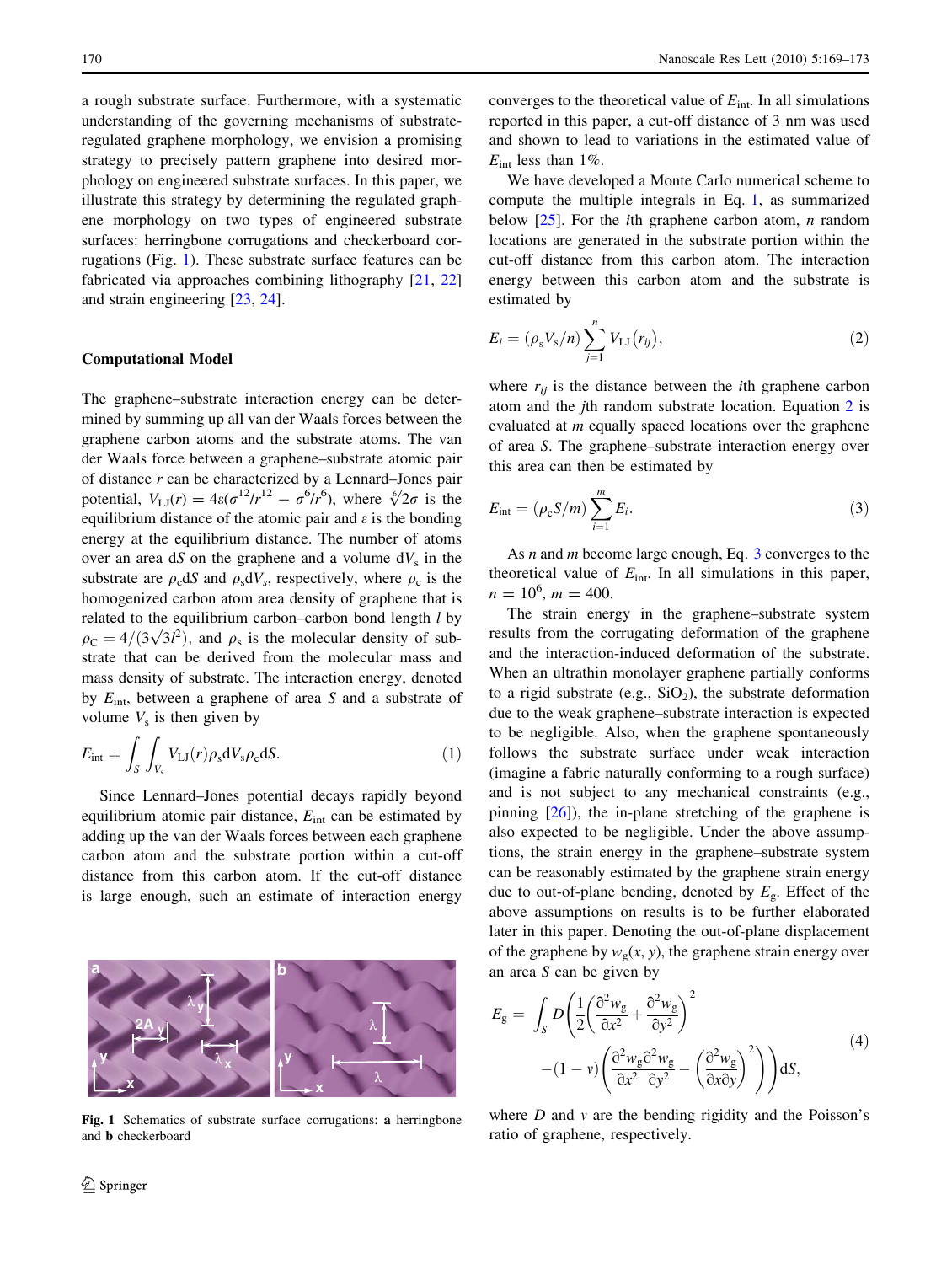<span id="page-1-0"></span>a rough substrate surface. Furthermore, with a systematic understanding of the governing mechanisms of substrateregulated graphene morphology, we envision a promising strategy to precisely pattern graphene into desired morphology on engineered substrate surfaces. In this paper, we illustrate this strategy by determining the regulated graphene morphology on two types of engineered substrate surfaces: herringbone corrugations and checkerboard corrugations (Fig. 1). These substrate surface features can be fabricated via approaches combining lithography [[21,](#page-4-0) [22\]](#page-4-0) and strain engineering [\[23](#page-4-0), [24\]](#page-4-0).

### Computational Model

The graphene–substrate interaction energy can be determined by summing up all van der Waals forces between the graphene carbon atoms and the substrate atoms. The van der Waals force between a graphene–substrate atomic pair of distance  $r$  can be characterized by a Lennard–Jones pair or distance *r* can be characterized by a Lemnard–Jones pair<br>potential,  $V_{LJ}(r) = 4\varepsilon(\sigma^{12}/r^{12} - \sigma^6/r^6)$ , where  $\sqrt[6]{2\sigma}$  is the equilibrium distance of the atomic pair and  $\varepsilon$  is the bonding energy at the equilibrium distance. The number of atoms over an area dS on the graphene and a volume  $dV_s$  in the substrate are  $\rho_c dS$  and  $\rho_s dV_s$ , respectively, where  $\rho_c$  is the homogenized carbon atom area density of graphene that is related to the equilibrium carbon–carbon bond length l by betated to the equilibrium carbon–carbon bond length t by  $\rho_C = 4/(3\sqrt{3}l^2)$ , and  $\rho_s$  is the molecular density of substrate that can be derived from the molecular mass and mass density of substrate. The interaction energy, denoted by  $E_{\text{int}}$ , between a graphene of area S and a substrate of volume  $V<sub>s</sub>$  is then given by

$$
E_{\rm int} = \int_{S} \int_{V_{\rm s}} V_{\rm LJ}(r) \rho_{\rm s} dV_{\rm s} \rho_{\rm c} dS. \tag{1}
$$

Since Lennard–Jones potential decays rapidly beyond equilibrium atomic pair distance,  $E_{int}$  can be estimated by adding up the van der Waals forces between each graphene carbon atom and the substrate portion within a cut-off distance from this carbon atom. If the cut-off distance is large enough, such an estimate of interaction energy



Fig. 1 Schematics of substrate surface corrugations: a herringbone and b checkerboard

converges to the theoretical value of  $E_{int}$ . In all simulations reported in this paper, a cut-off distance of 3 nm was used and shown to lead to variations in the estimated value of  $E_{\text{int}}$  less than 1%.

We have developed a Monte Carlo numerical scheme to compute the multiple integrals in Eq. 1, as summarized below  $[25]$  $[25]$ . For the *i*th graphene carbon atom, *n* random locations are generated in the substrate portion within the cut-off distance from this carbon atom. The interaction energy between this carbon atom and the substrate is estimated by

$$
E_i = (\rho_s V_s/n) \sum_{j=1}^n V_{\text{LJ}}(r_{ij}),
$$
\n(2)

where  $r_{ij}$  is the distance between the *i*th graphene carbon atom and the jth random substrate location. Equation 2 is evaluated at m equally spaced locations over the graphene of area S. The graphene–substrate interaction energy over this area can then be estimated by

$$
E_{\rm int} = (\rho_{\rm c} S/m) \sum_{i=1}^{m} E_i.
$$
 (3)

As *n* and *m* become large enough, Eq. 3 converges to the theoretical value of  $E_{int}$ . In all simulations in this paper,  $n = 10^6$ ,  $m = 400$ .

The strain energy in the graphene–substrate system results from the corrugating deformation of the graphene and the interaction-induced deformation of the substrate. When an ultrathin monolayer graphene partially conforms to a rigid substrate (e.g.,  $SiO<sub>2</sub>$ ), the substrate deformation due to the weak graphene–substrate interaction is expected to be negligible. Also, when the graphene spontaneously follows the substrate surface under weak interaction (imagine a fabric naturally conforming to a rough surface) and is not subject to any mechanical constraints (e.g., pinning [[26\]](#page-4-0)), the in-plane stretching of the graphene is also expected to be negligible. Under the above assumptions, the strain energy in the graphene–substrate system can be reasonably estimated by the graphene strain energy due to out-of-plane bending, denoted by  $E_g$ . Effect of the above assumptions on results is to be further elaborated later in this paper. Denoting the out-of-plane displacement of the graphene by  $w_g(x, y)$ , the graphene strain energy over an area S can be given by

$$
E_{g} = \int_{S} D\left(\frac{1}{2}\left(\frac{\partial^{2}w_{g}}{\partial x^{2}} + \frac{\partial^{2}w_{g}}{\partial y^{2}}\right)^{2} - (1 - v)\left(\frac{\partial^{2}w_{g}\partial^{2}w_{g}}{\partial x^{2}} - \left(\frac{\partial^{2}w_{g}}{\partial x\partial y}\right)^{2}\right)\right) dS,
$$
\n(4)

where  $D$  and  $v$  are the bending rigidity and the Poisson's ratio of graphene, respectively.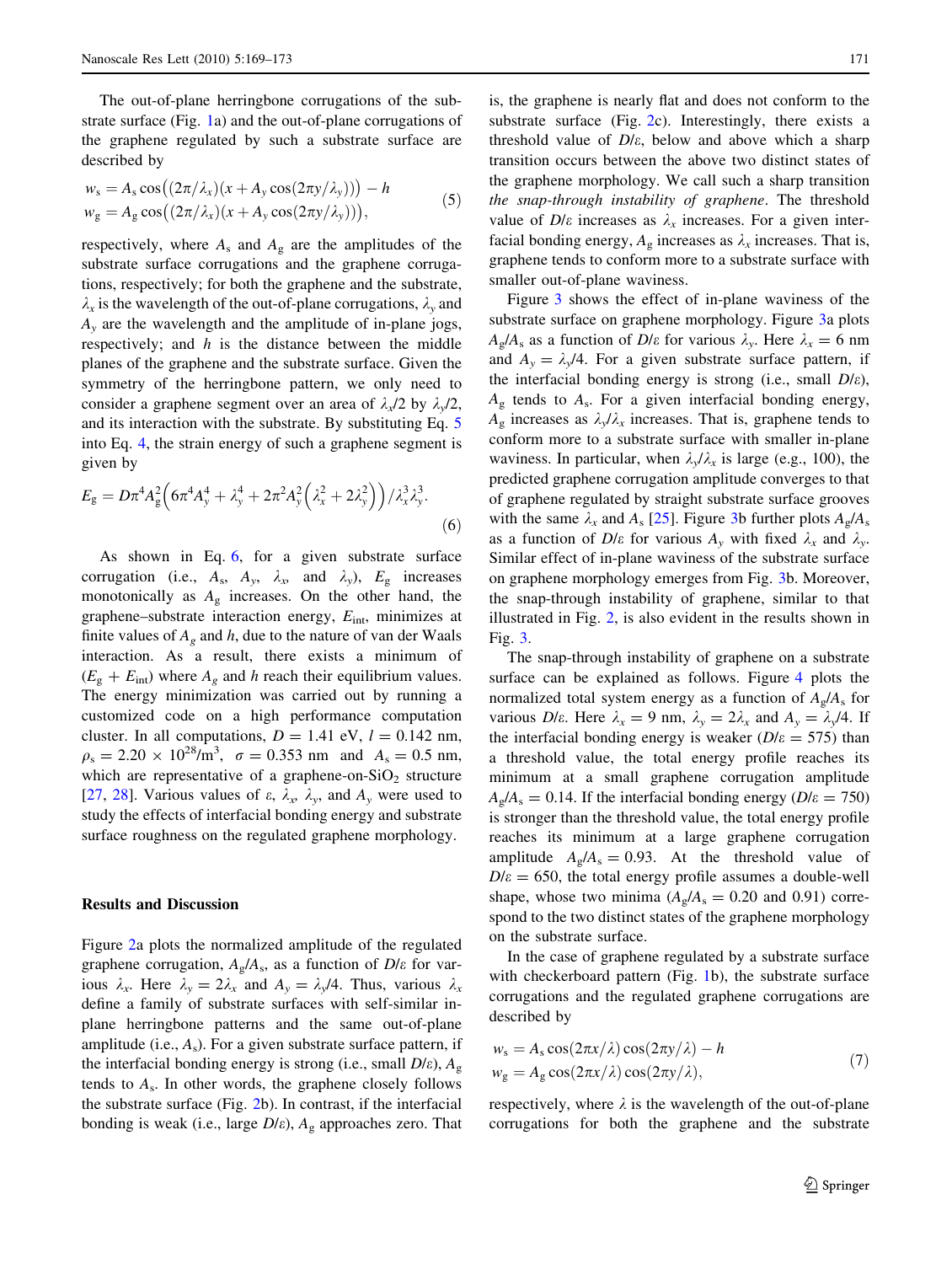The out-of-plane herringbone corrugations of the substrate surface (Fig. [1](#page-1-0)a) and the out-of-plane corrugations of the graphene regulated by such a substrate surface are described by

$$
w_s = A_s \cos((2\pi/\lambda_x)(x + A_y \cos(2\pi y/\lambda_y))) - h
$$
  
\n
$$
w_g = A_g \cos((2\pi/\lambda_x)(x + A_y \cos(2\pi y/\lambda_y))),
$$
\n(5)

respectively, where  $A_s$  and  $A_g$  are the amplitudes of the substrate surface corrugations and the graphene corrugations, respectively; for both the graphene and the substrate,  $\lambda_x$  is the wavelength of the out-of-plane corrugations,  $\lambda_y$  and  $A<sub>v</sub>$  are the wavelength and the amplitude of in-plane jogs, respectively; and  $h$  is the distance between the middle planes of the graphene and the substrate surface. Given the symmetry of the herringbone pattern, we only need to consider a graphene segment over an area of  $\lambda_{x}/2$  by  $\lambda_{y}/2$ , and its interaction with the substrate. By substituting Eq. 5 into Eq. [4](#page-1-0), the strain energy of such a graphene segment is given by

$$
E_{\rm g} = D\pi^4 A_{\rm g}^2 \Big( 6\pi^4 A_{\rm y}^4 + \lambda_{\rm y}^4 + 2\pi^2 A_{\rm y}^2 \Big( \lambda_x^2 + 2\lambda_{\rm y}^2 \Big) \Big) / \lambda_x^3 \lambda_y^3. \tag{6}
$$

As shown in Eq. 6, for a given substrate surface corrugation (i.e.,  $A_s$ ,  $A_v$ ,  $\lambda_x$  and  $\lambda_y$ ),  $E_g$  increases monotonically as  $A_{\rm g}$  increases. On the other hand, the graphene–substrate interaction energy,  $E_{\text{int}}$ , minimizes at finite values of  $A_g$  and h, due to the nature of van der Waals interaction. As a result, there exists a minimum of  $(E<sub>g</sub> + E<sub>int</sub>)$  where  $A<sub>g</sub>$  and h reach their equilibrium values. The energy minimization was carried out by running a customized code on a high performance computation cluster. In all computations,  $D = 1.41$  eV,  $l = 0.142$  nm,  $\rho_s = 2.20 \times 10^{28} / \text{m}^3$ ,  $\sigma = 0.353$  nm and  $A_s = 0.5$  nm, which are representative of a graphene-on- $SiO<sub>2</sub>$  structure [\[27](#page-4-0), [28](#page-4-0)]. Various values of  $\varepsilon$ ,  $\lambda_x$ ,  $\lambda_y$ , and  $A_y$  were used to study the effects of interfacial bonding energy and substrate surface roughness on the regulated graphene morphology.

#### Results and Discussion

Figure [2](#page-3-0)a plots the normalized amplitude of the regulated graphene corrugation,  $A_g/A_s$ , as a function of  $D/\varepsilon$  for various  $\lambda_x$ . Here  $\lambda_y = 2\lambda_x$  and  $A_y = \lambda_y/4$ . Thus, various  $\lambda_x$ define a family of substrate surfaces with self-similar inplane herringbone patterns and the same out-of-plane amplitude (i.e.,  $A_s$ ). For a given substrate surface pattern, if the interfacial bonding energy is strong (i.e., small  $D/\varepsilon$ ),  $A_{\varphi}$ tends to  $A_s$ . In other words, the graphene closely follows the substrate surface (Fig. [2](#page-3-0)b). In contrast, if the interfacial bonding is weak (i.e., large  $D/\varepsilon$ ),  $A_g$  approaches zero. That

is, the graphene is nearly flat and does not conform to the substrate surface (Fig. [2c](#page-3-0)). Interestingly, there exists a threshold value of  $D/\varepsilon$ , below and above which a sharp transition occurs between the above two distinct states of the graphene morphology. We call such a sharp transition the snap-through instability of graphene. The threshold value of  $D/\varepsilon$  increases as  $\lambda_x$  increases. For a given interfacial bonding energy,  $A_{\rm g}$  increases as  $\lambda_x$  increases. That is, graphene tends to conform more to a substrate surface with smaller out-of-plane waviness.

Figure [3](#page-3-0) shows the effect of in-plane waviness of the substrate surface on graphene morphology. Figure [3](#page-3-0)a plots  $A_g/A_s$  as a function of  $D/\varepsilon$  for various  $\lambda_y$ . Here  $\lambda_x = 6$  nm and  $A_y = \lambda \sqrt{4}$ . For a given substrate surface pattern, if the interfacial bonding energy is strong (i.e., small  $D/\varepsilon$ ),  $A_{\rm g}$  tends to  $A_{\rm s}$ . For a given interfacial bonding energy,  $A_{\rm g}$  increases as  $\lambda_{\rm v}/\lambda_{\rm x}$  increases. That is, graphene tends to conform more to a substrate surface with smaller in-plane waviness. In particular, when  $\lambda_v/\lambda_x$  is large (e.g., 100), the predicted graphene corrugation amplitude converges to that of graphene regulated by straight substrate surface grooves with the same  $\lambda_x$  and  $A_s$  [\[25](#page-4-0)]. Figure [3](#page-3-0)b further plots  $A_g/A_s$ as a function of  $D/\varepsilon$  for various  $A_y$  with fixed  $\lambda_x$  and  $\lambda_y$ . Similar effect of in-plane waviness of the substrate surface on graphene morphology emerges from Fig. [3](#page-3-0)b. Moreover, the snap-through instability of graphene, similar to that illustrated in Fig. [2](#page-3-0), is also evident in the results shown in Fig. [3](#page-3-0).

The snap-through instability of graphene on a substrate surface can be explained as follows. Figure [4](#page-3-0) plots the normalized total system energy as a function of  $A_{\rm g}/A_{\rm s}$  for various  $D/\varepsilon$ . Here  $\lambda_x = 9$  nm,  $\lambda_y = 2\lambda_x$  and  $A_y = \lambda_y/4$ . If the interfacial bonding energy is weaker ( $D/\varepsilon = 575$ ) than a threshold value, the total energy profile reaches its minimum at a small graphene corrugation amplitude  $A_{\rm g}/A_{\rm s} = 0.14$ . If the interfacial bonding energy ( $D/\varepsilon = 750$ ) is stronger than the threshold value, the total energy profile reaches its minimum at a large graphene corrugation amplitude  $A_o/A_s = 0.93$ . At the threshold value of  $D/\varepsilon = 650$ , the total energy profile assumes a double-well shape, whose two minima ( $A_g/A_s = 0.20$  and 0.91) correspond to the two distinct states of the graphene morphology on the substrate surface.

In the case of graphene regulated by a substrate surface with checkerboard pattern (Fig. [1b](#page-1-0)), the substrate surface corrugations and the regulated graphene corrugations are described by

$$
w_s = A_s \cos(2\pi x/\lambda) \cos(2\pi y/\lambda) - h
$$
  
\n
$$
w_g = A_g \cos(2\pi x/\lambda) \cos(2\pi y/\lambda),
$$
\n(7)

respectively, where  $\lambda$  is the wavelength of the out-of-plane corrugations for both the graphene and the substrate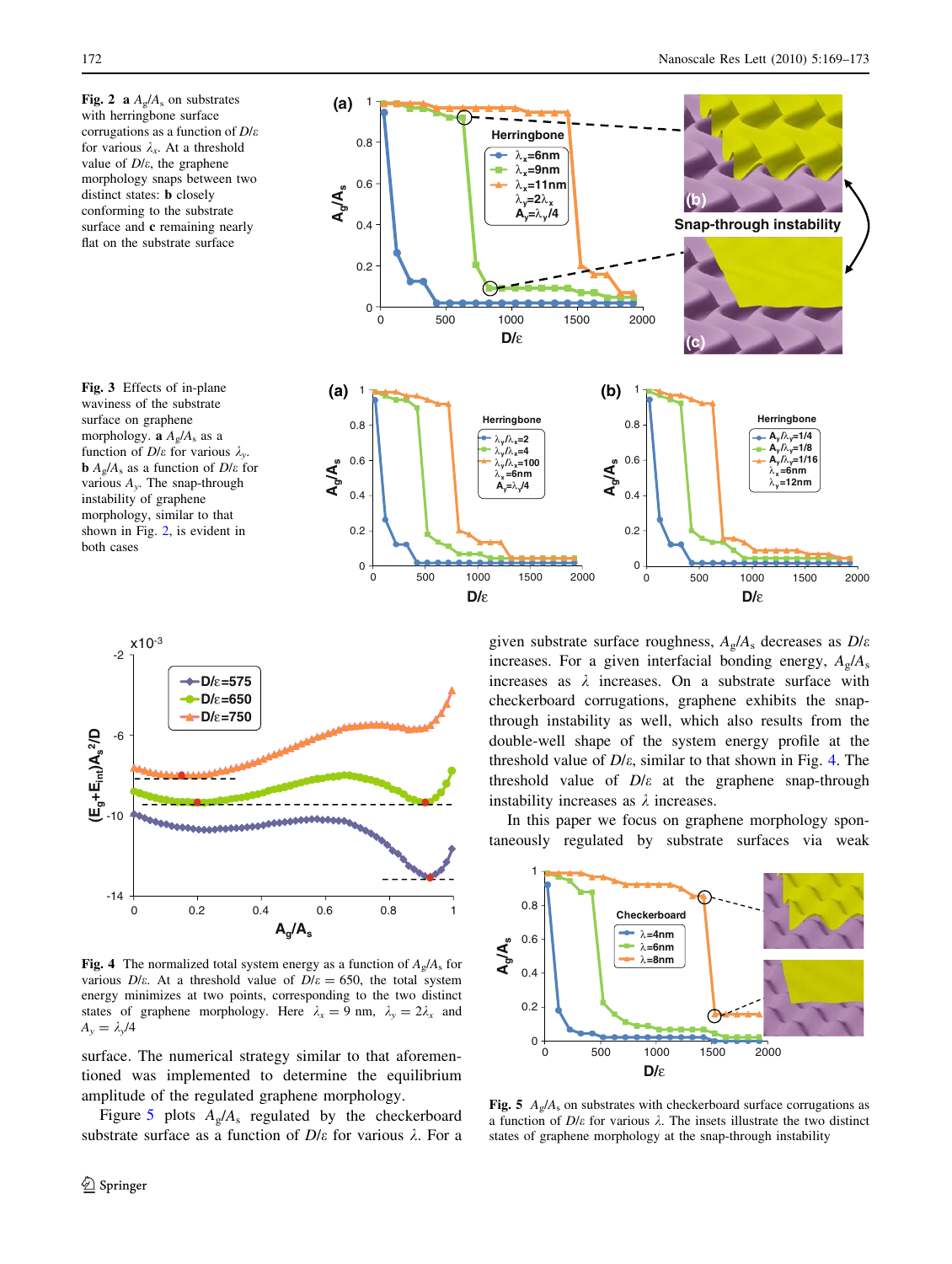Fig. 2 a  $A_{\rm g}/A_{\rm s}$  on substrates with herringbone surface corrugations as a function of  $D/\varepsilon$ for various  $\lambda_x$ . At a threshold value of  $D/\varepsilon$ , the graphene morphology snaps between two distinct states: **b** closely conforming to the substrate surface and c remaining nearly flat on the substrate surface



<span id="page-3-0"></span>



**Fig. 4** The normalized total system energy as a function of  $A_e/A_s$  for various  $D/\varepsilon$ . At a threshold value of  $D/\varepsilon = 650$ , the total system energy minimizes at two points, corresponding to the two distinct states of graphene morphology. Here  $\lambda_x = 9$  nm,  $\lambda_y = 2\lambda_x$  and  $A_{\nu} = \lambda_{\nu}/4$ 

surface. The numerical strategy similar to that aforementioned was implemented to determine the equilibrium amplitude of the regulated graphene morphology.

Figure 5 plots  $A_{g}/A_{s}$  regulated by the checkerboard substrate surface as a function of  $D/\varepsilon$  for various  $\lambda$ . For a given substrate surface roughness,  $A_{\rm g}/A_{\rm s}$  decreases as  $D/\varepsilon$ increases. For a given interfacial bonding energy,  $A_p/A_s$ increases as  $\lambda$  increases. On a substrate surface with checkerboard corrugations, graphene exhibits the snapthrough instability as well, which also results from the double-well shape of the system energy profile at the threshold value of  $D/\varepsilon$ , similar to that shown in Fig. 4. The threshold value of  $D/\varepsilon$  at the graphene snap-through instability increases as  $\lambda$  increases.

In this paper we focus on graphene morphology spontaneously regulated by substrate surfaces via weak



Fig. 5  $A_{\rm g}/A_{\rm s}$  on substrates with checkerboard surface corrugations as a function of  $D/\varepsilon$  for various  $\lambda$ . The insets illustrate the two distinct states of graphene morphology at the snap-through instability